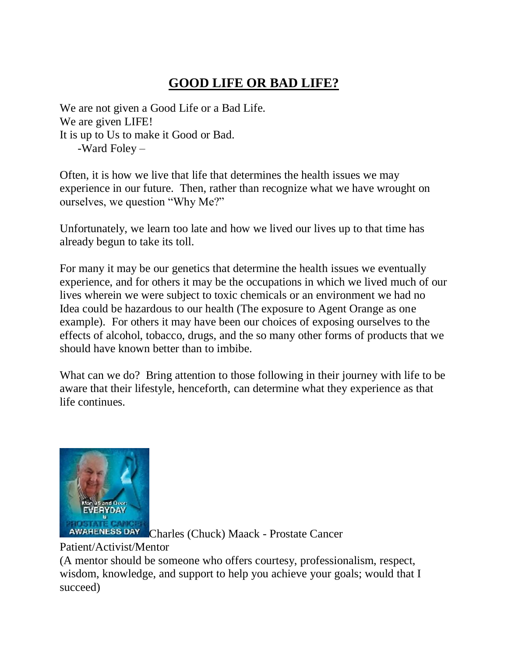## **GOOD LIFE OR BAD LIFE?**

We are not given a Good Life or a Bad Life. We are given LIFE! It is up to Us to make it Good or Bad. -Ward Foley –

Often, it is how we live that life that determines the health issues we may experience in our future. Then, rather than recognize what we have wrought on ourselves, we question "Why Me?"

Unfortunately, we learn too late and how we lived our lives up to that time has already begun to take its toll.

For many it may be our genetics that determine the health issues we eventually experience, and for others it may be the occupations in which we lived much of our lives wherein we were subject to toxic chemicals or an environment we had no Idea could be hazardous to our health (The exposure to Agent Orange as one example). For others it may have been our choices of exposing ourselves to the effects of alcohol, tobacco, drugs, and the so many other forms of products that we should have known better than to imbibe.

What can we do? Bring attention to those following in their journey with life to be aware that their lifestyle, henceforth, can determine what they experience as that life continues.



AWARENESS DAY Charles (Chuck) Maack - Prostate Cancer

## Patient/Activist/Mentor

(A mentor should be someone who offers courtesy, professionalism, respect, wisdom, knowledge, and support to help you achieve your goals; would that I succeed)